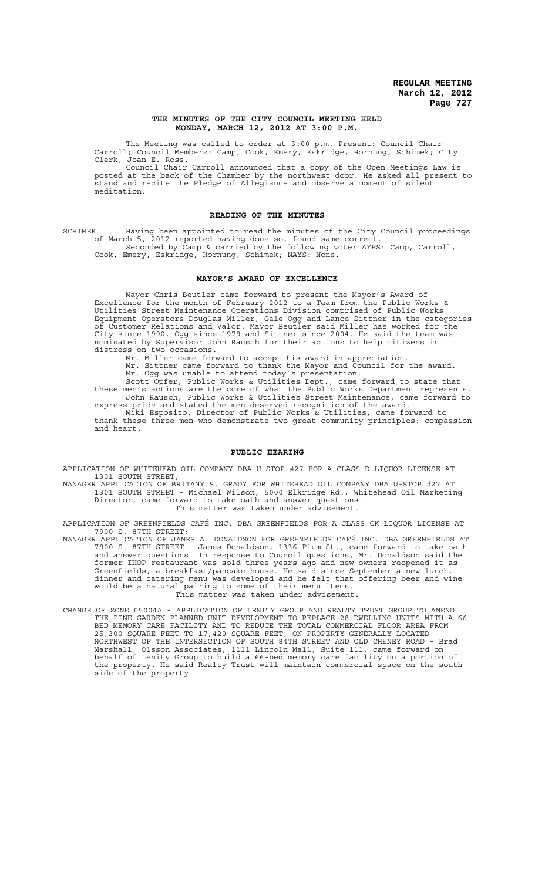### **THE MINUTES OF THE CITY COUNCIL MEETING HELD MONDAY, MARCH 12, 2012 AT 3:00 P.M.**

The Meeting was called to order at 3:00 p.m. Present: Council Chair Carroll; Council Members: Camp, Cook, Emery, Eskridge, Hornung, Schimek; City Clerk, Joan E. Ross.

Council Chair Carroll announced that a copy of the Open Meetings Law is posted at the back of the Chamber by the northwest door. He asked all present to stand and recite the Pledge of Allegiance and observe a moment of silent meditation.

## **READING OF THE MINUTES**

SCHIMEK Having been appointed to read the minutes of the City Council proceedings of March 5, 2012 reported having done so, found same correct. Seconded by Camp & carried by the following vote: AYES: Camp, Carroll, Cook, Emery, Eskridge, Hornung, Schimek; NAYS: None.

### **MAYOR'S AWARD OF EXCELLENCE**

Mayor Chris Beutler came forward to present the Mayor's Award of Excellence for the month of February 2012 to a Team from the Public Works & Utilities Street Maintenance Operations Division comprised of Public Works Equipment Operators Douglas Miller, Gale Ogg and Lance Sittner in the categories of Customer Relations and Valor. Mayor Beutler said Miller has worked for the City since 1990, Ogg since 1979 and Sittner since 2004. He said the team was nominated by Supervisor John Rausch for their actions to help citizens in distress on two occasions.

Mr. Miller came forward to accept his award in appreciation. Mr. Sittner came forward to thank the Mayor and Council for the award.

Mr. Ogg was unable to attend today's presentation. Scott Opfer, Public Works & Utilities Dept., came forward to state that

these men's actions are the core of what the Public Works Department represents. John Rausch, Public Works & Utilities Street Maintenance, came forward to express pride and stated the men deserved recognition of the award.

Miki Esposito, Director of Public Works & Utilities, came forward to thank these three men who demonstrate two great community principles: compassion and heart.

## **PUBLIC HEARING**

APPLICATION OF WHITEHEAD OIL COMPANY DBA U-STOP #27 FOR A CLASS D LIQUOR LICENSE AT 1301 SOUTH STREET;

MANAGER APPLICATION OF BRITANY S. GRADY FOR WHITEHEAD OIL COMPANY DBA U-STOP #27 AT 1301 SOUTH STREET - Michael Wilson, 5000 Elkridge Rd., Whitehead Oil Marketing Director, came forward to take oath and answer questions. This matter was taken under advisement.

APPLICATION OF GREENFIELDS CAFÉ INC. DBA GREENFIELDS FOR A CLASS CK LIQUOR LICENSE AT 7900 S. 87TH STREET;

- MANAGER APPLICATION OF JAMES A. DONALDSON FOR GREENFIELDS CAFÉ INC. DBA GREENFIELDS AT 7900 S. 87TH STREET - James Donaldson, 1336 Plum St., came forward to take oath and answer questions. In response to Council questions, Mr. Donaldson said the former IHOP restaurant was sold three years ago and new owners reopened it as Greenfields, a breakfast/pancake house. He said since September a new lunch, dinner and catering menu was developed and he felt that offering beer and wine would be a natural pairing to some of their menu items. This matter was taken under advisement.
- CHANGE OF ZONE 05004A APPLICATION OF LENITY GROUP AND REALTY TRUST GROUP TO AMEND THE PINE GARDEN PLANNED UNIT DEVELOPMENT TO REPLACE 28 DWELLING UNITS WITH A 66- BED MEMORY CARE FACILITY AND TO REDUCE THE TOTAL COMMERCIAL FLOOR AREA FROM 25,300 SQUARE FEET TO 17,420 SQUARE FEET, ON PROPERTY GENERALLY LOCATED NORTHWEST OF THE INTERSECTION OF SOUTH 84TH STREET AND OLD CHENEY ROAD - Brad Marshall, Olsson Associates, 1111 Lincoln Mall, Suite 111, came forward on behalf of Lenity Group to build a 66-bed memory care facility on a portion of the property. He said Realty Trust will maintain commercial space on the south side of the property.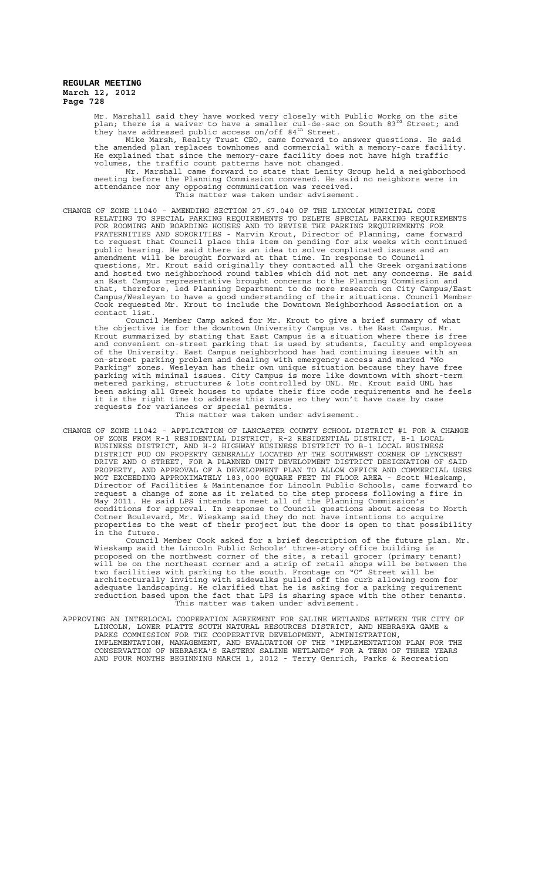Mr. Marshall said they have worked very closely with Public Works on the site<br>plan; there is a waiver to have a smaller cul-de-sac on South 83<sup>rd</sup> Street; and they have addressed public access on/off 84<sup>th</sup> Street.

Mike Marsh, Realty Trust CEO, came forward to answer questions. He said the amended plan replaces townhomes and commercial with a memory-care facility. He explained that since the memory-care facility does not have high traffic volumes, the traffic count patterns have not changed.

Mr. Marshall came forward to state that Lenity Group held a neighborhood meeting before the Planning Commission convened. He said no neighbors were in attendance nor any opposing communication was received.

This matter was taken under advisement.

CHANGE OF ZONE 11040 - AMENDING SECTION 27.67.040 OF THE LINCOLN MUNICIPAL CODE RELATING TO SPECIAL PARKING REQUIREMENTS TO DELETE SPECIAL PARKING REQUIREMENTS FOR ROOMING AND BOARDING HOUSES AND TO REVISE THE PARKING REQUIREMENTS FOR FRATERNITIES AND SORORITIES - Marvin Krout, Director of Planning, came forward to request that Council place this item on pending for six weeks with continued public hearing. He said there is an idea to solve complicated issues and an .<br>amendment will be brought forward at that time. In response to Council questions, Mr. Krout said originally they contacted all the Greek organizations and hosted two neighborhood round tables which did not net any concerns. He said an East Campus representative brought concerns to the Planning Commission and that, therefore, led Planning Department to do more research on City Campus/East Campus/Wesleyan to have a good understanding of their situations. Council Member Cook requested Mr. Krout to include the Downtown Neighborhood Association on a contact list.

Council Member Camp asked for Mr. Krout to give a brief summary of what the objective is for the downtown University Campus vs. the East Campus. Mr. Krout summarized by stating that East Campus is a situation where there is free and convenient on-street parking that is used by students, faculty and employees of the University. East Campus neighborhood has had continuing issues with an on-street parking problem and dealing with emergency access and marked "No Parking" zones. Wesleyan has their own unique situation because they have free parking with minimal issues. City Campus is more like downtown with short-term metered parking, structures & lots controlled by UNL. Mr. Krout said UNL has been asking all Greek houses to update their fire code requirements and he feels it is the right time to address this issue so they won't have case by case requests for variances or special permits.

This matter was taken under advisement.

CHANGE OF ZONE 11042 - APPLICATION OF LANCASTER COUNTY SCHOOL DISTRICT #1 FOR A CHANGE OF ZONE FROM R-1 RESIDENTIAL DISTRICT, R-2 RESIDENTIAL DISTRICT, B-1 LOCAL BUSINESS DISTRICT, AND H-2 HIGHWAY BUSINESS DISTRICT TO B-1 LOCAL BUSINESS DISTRICT PUD ON PROPERTY GENERALLY LOCATED AT THE SOUTHWEST CORNER OF LYNCREST DRIVE AND O STREET, FOR A PLANNED UNIT DEVELOPMENT DISTRICT DESIGNATION OF SAID PROPERTY, AND APPROVAL OF A DEVELOPMENT PLAN TO ALLOW OFFICE AND COMMERCIAL USES NOT EXCEEDING APPROXIMATELY 183,000 SQUARE FEET IN FLOOR AREA - Scott Wieskamp, Director of Facilities & Maintenance for Lincoln Public Schools, came forward to request a change of zone as it related to the step process following a fire in May 2011. He said LPS intends to meet all of the Planning Commission's conditions for approval. In response to Council questions about access to North Cotner Boulevard, Mr. Wieskamp said they do not have intentions to acquire properties to the west of their project but the door is open to that possibility in the future.

Council Member Cook asked for a brief description of the future plan. Mr. Wieskamp said the Lincoln Public Schools' three-story office building is proposed on the northwest corner of the site, a retail grocer (primary tenant) will be on the northeast corner and a strip of retail shops will be between the two facilities with parking to the south. Frontage on "O" Street will be architecturally inviting with sidewalks pulled off the curb allowing room for adequate landscaping. He clarified that he is asking for a parking requirement reduction based upon the fact that LPS is sharing space with the other tenants. This matter was taken under advisement.

APPROVING AN INTERLOCAL COOPERATION AGREEMENT FOR SALINE WETLANDS BETWEEN THE CITY OF LINCOLN, LOWER PLATTE SOUTH NATURAL RESOURCES DISTRICT, AND NEBRASKA GAME & PARKS COMMISSION FOR THE COOPERATIVE DEVELOPMENT, ADMINISTRATION, IMPLEMENTATION, MANAGEMENT, AND EVALUATION OF THE "IMPLEMENTATION PLAN FOR THE CONSERVATION OF NEBRASKA'S EASTERN SALINE WETLANDS" FOR A TERM OF THREE YEARS AND FOUR MONTHS BEGINNING MARCH 1, 2012 - Terry Genrich, Parks & Recreation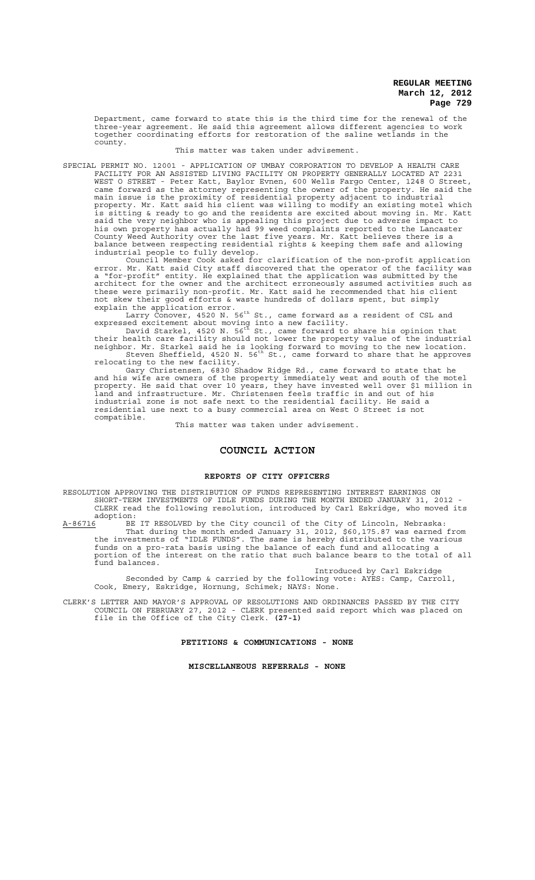Department, came forward to state this is the third time for the renewal of the three-year agreement. He said this agreement allows different agencies to work together coordinating efforts for restoration of the saline wetlands in the county.

This matter was taken under advisement.

SPECIAL PERMIT NO. 12001 - APPLICATION OF UMBAY CORPORATION TO DEVELOP A HEALTH CARE FACILITY FOR AN ASSISTED LIVING FACILITY ON PROPERTY GENERALLY LOCATED AT 2231 WEST O STREET - Peter Katt, Baylor Evnen, 600 Wells Fargo Center, 1248 O Street, came forward as the attorney representing the owner of the property. He said the main issue is the proximity of residential property adjacent to industrial property. Mr. Katt said his client was willing to modify an existing motel which is sitting & ready to go and the residents are excited about moving in. Mr. Katt said the very neighbor who is appealing this project due to adverse impact to his own property has actually had 99 weed complaints reported to the Lancaster County Weed Authority over the last five years. Mr. Katt believes there is a balance between respecting residential rights & keeping them safe and allowing industrial people to fully develop.

Council Member Cook asked for clarification of the non-profit application error. Mr. Katt said City staff discovered that the operator of the facility was a "for-profit" entity. He explained that the application was submitted by the architect for the owner and the architect erroneously assumed activities such as these were primarily non-profit. Mr. Katt said he recommended that his client not skew their good efforts & waste hundreds of dollars spent, but simply

explain the application error.<br>Larry Conover, 4520 N. 56<sup>th</sup> St., came forward as a resident of CSL and expressed excitement about moving into a new facility.<br>David Starkel, 4520 N. 56<sup>th</sup> St., came forward to share his opinion that

their health care facility should not lower the property value of the industrial neighbor. Mr. Starkel said he is looking forward to moving to the new location.<br>Steven Sheffield, 4520 N. 56<sup>th</sup> St., came forward to share that he approves relocating to the new facility.

Gary Christensen, 6830 Shadow Ridge Rd., came forward to state that he and his wife are owners of the property immediately west and south of the motel property. He said that over 10 years, they have invested well over \$1 million in land and infrastructure. Mr. Christensen feels traffic in and out of his industrial zone is not safe next to the residential facility. He said a residential use next to a busy commercial area on West O Street is not compatible.

This matter was taken under advisement.

### **COUNCIL ACTION**

### **REPORTS OF CITY OFFICERS**

RESOLUTION APPROVING THE DISTRIBUTION OF FUNDS REPRESENTING INTEREST EARNINGS ON SHORT-TERM INVESTMENTS OF IDLE FUNDS DURING THE MONTH ENDED JANUARY 31, 2012 - CLERK read the following resolution, introduced by Carl Eskridge, who moved its

adoption:<br><u>A-86716</u> BE A-86716 BE IT RESOLVED by the City council of the City of Lincoln, Nebraska: That during the month ended January 31, 2012, \$60,175.87 was earned from the investments of "IDLE FUNDS". The same is hereby distributed to the various funds on a pro-rata basis using the balance of each fund and allocating a portion of the interest on the ratio that such balance bears to the total of all fund balances.

Introduced by Carl Eskridge Seconded by Camp & carried by the following vote: AYES: Camp, Carroll, Cook, Emery, Eskridge, Hornung, Schimek; NAYS: None.

CLERK'S LETTER AND MAYOR'S APPROVAL OF RESOLUTIONS AND ORDINANCES PASSED BY THE CITY COUNCIL ON FEBRUARY 27, 2012 - CLERK presented said report which was placed on file in the Office of the City Clerk. **(27-1)**

**PETITIONS & COMMUNICATIONS - NONE**

**MISCELLANEOUS REFERRALS - NONE**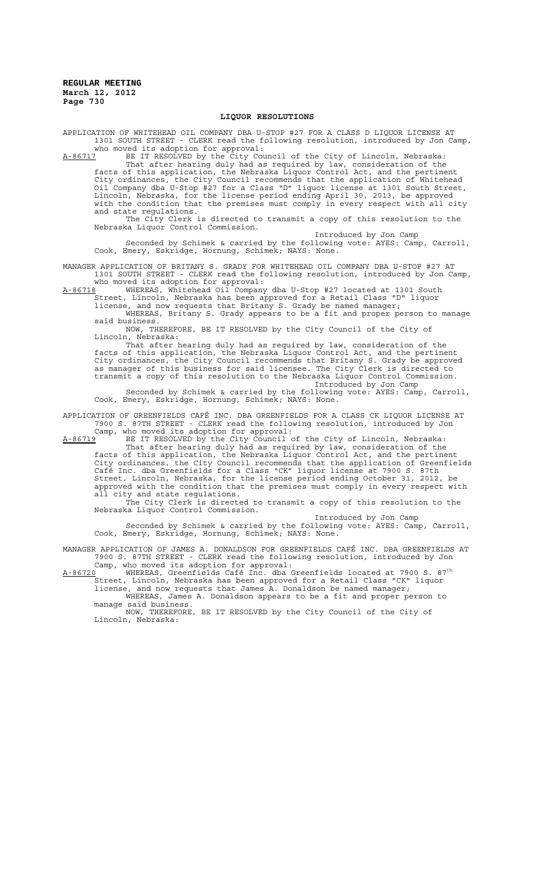### **LIQUOR RESOLUTIONS**

APPLICATION OF WHITEHEAD OIL COMPANY DBA U-STOP #27 FOR A CLASS D LIQUOR LICENSE AT 1301 SOUTH STREET - CLERK read the following resolution, introduced by Jon Camp, who moved its adoption for approval:

A-86717 BE IT RESOLVED by the City Council of the City of Lincoln, Nebraska: That after hearing duly had as required by law, consideration of the facts of this application, the Nebraska Liquor Control Act, and the pertinent City ordinances, the City Council recommends that the application of Whitehead Oil Company dba U-Stop #27 for a Class "D" liquor license at 1301 South Street, Lincoln, Nebraska, for the license period ending April 30, 2013, be approved with the condition that the premises must comply in every respect with all city and state regulations.

The City Clerk is directed to transmit a copy of this resolution to the Nebraska Liquor Control Commission. Introduced by Jon Camp

Seconded by Schimek & carried by the following vote: AYES: Camp, Carroll, Cook, Emery, Eskridge, Hornung, Schimek; NAYS: None.

MANAGER APPLICATION OF BRITANY S. GRADY FOR WHITEHEAD OIL COMPANY DBA U-STOP #27 AT 1301 SOUTH STREET - CLERK read the following resolution, introduced by Jon Camp, who moved its adoption for approval:<br>A-86718 WHEREAS, Whitehead Oil Company

A-86718 WHEREAS, Whitehead Oil Company dba U-Stop #27 located at 1301 South Street, Lincoln, Nebraska has been approved for a Retail Class "D" liquor

license, and now requests that Britany S. Grady be named manager; WHEREAS, Britany S. Grady appears to be a fit and proper person to manage

said business. NOW, THEREFORE, BE IT RESOLVED by the City Council of the City of

Lincoln, Nebraska: That after hearing duly had as required by law, consideration of the facts of this application, the Nebraska Liquor Control Act, and the pertinent City ordinances, the City Council recommends that Britany S. Grady be approved as manager of this business for said licensee. The City Clerk is directed to transmit a copy of this resolution to the Nebraska Liquor Control Commission. Introduced by Jon Camp

Seconded by Schimek & carried by the following vote: AYES: Camp, Carroll, Cook, Emery, Eskridge, Hornung, Schimek; NAYS: None.

APPLICATION OF GREENFIELDS CAFÉ INC. DBA GREENFIELDS FOR A CLASS CK LIQUOR LICENSE AT 7900 S. 87TH STREET - CLERK read the following resolution, introduced by Jon Camp, who moved its adoption for approval:

A-86719 BE IT RESOLVED by the City Council of the City of Lincoln, Nebraska:

That after hearing duly had as required by law, consideration of the facts of this application, the Nebraska Liquor Control Act, and the pertinent City ordinances, the City Council recommends that the application of Greenfields Café Inc. dba Greenfields for a Class "CK" liquor license at 7900 S. 87th Street, Lincoln, Nebraska, for the license period ending October 31, 2012, be approved with the condition that the premises must comply in every respect with all city and state regulations.

The City Clerk is directed to transmit a copy of this resolution to the Nebraska Liquor Control Commission.

Introduced by Jon Camp Seconded by Schimek & carried by the following vote: AYES: Camp, Carroll, Cook, Emery, Eskridge, Hornung, Schimek; NAYS: None.

MANAGER APPLICATION OF JAMES A. DONALDSON FOR GREENFIELDS CAFÉ INC. DBA GREENFIELDS AT 7900 S. 87TH STREET - CLERK read the following resolution, introduced by Jon

Camp, who moved its adoption for approval:<br>A-86720 WHEREAS, Greenfields Café Inc. dba Greenfields located at 7900 S. 87<sup>th</sup> Street, Lincoln, Nebraska has been approved for a Retail Class "CK" liquor

license, and now requests that James A. Donaldson be named manager; WHEREAS, James A. Donaldson appears to be a fit and proper person to manage said business.

NOW, THEREFORE, BE IT RESOLVED by the City Council of the City of Lincoln, Nebraska: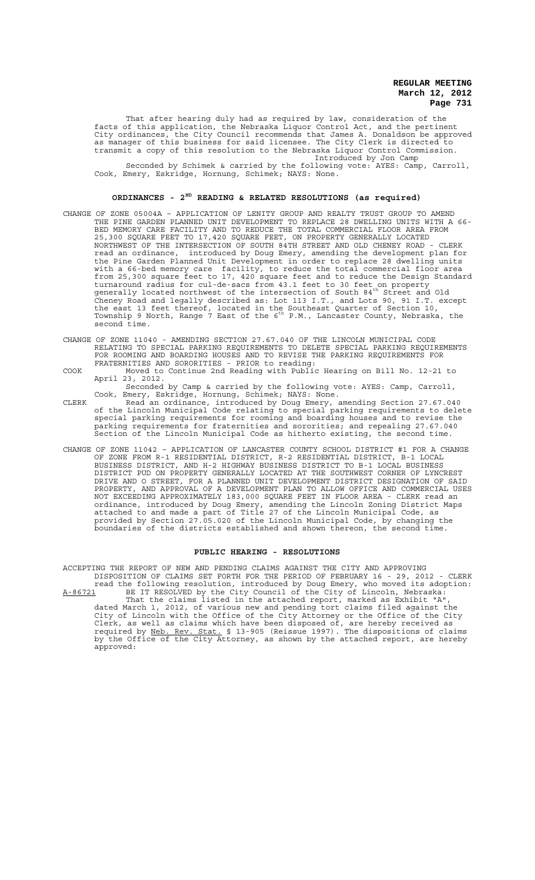That after hearing duly had as required by law, consideration of the facts of this application, the Nebraska Liquor Control Act, and the pertinent City ordinances, the City Council recommends that James A. Donaldson be approved as manager of this business for said licensee. The City Clerk is directed to transmit a copy of this resolution to the Nebraska Liquor Control Commission. Introduced by Jon Camp

Seconded by Schimek & carried by the following vote: AYES: Camp, Carroll, Cook, Emery, Eskridge, Hornung, Schimek; NAYS: None.

# **ORDINANCES - 2ND READING & RELATED RESOLUTIONS (as required)**

- CHANGE OF ZONE 05004A APPLICATION OF LENITY GROUP AND REALTY TRUST GROUP TO AMEND THE PINE GARDEN PLANNED UNIT DEVELOPMENT TO REPLACE 28 DWELLING UNITS WITH A 66- BED MEMORY CARE FACILITY AND TO REDUCE THE TOTAL COMMERCIAL FLOOR AREA FROM 25,300 SQUARE FEET TO 17,420 SQUARE FEET, ON PROPERTY GENERALLY LOCATED NORTHWEST OF THE INTERSECTION OF SOUTH 84TH STREET AND OLD CHENEY ROAD - CLERK read an ordinance, introduced by Doug Emery, amending the development plan for the Pine Garden Planned Unit Development in order to replace 28 dwelling units with a 66-bed memory care facility, to reduce the total commercial floor area from 25,300 square feet to 17, 420 square feet and to reduce the Design Standard turnaround radius for cul-de-sacs from 43.1 feet to 30 feet on property<br>generally located northwest of the intersection of South 84<sup>th</sup> Street and Old Cheney Road and legally described as: Lot 113 I.T., and Lots 90, 91 I.T. except the east 13 feet thereof, located in the Southeast Quarter of Section 10,  $\overline{\phantom{a}}$ <br>Township 9 North, Range 7 East of the 6<sup>th</sup> P.M., Lancaster County, Nebraska, the second time.
- CHANGE OF ZONE 11040 AMENDING SECTION 27.67.040 OF THE LINCOLN MUNICIPAL CODE RELATING TO SPECIAL PARKING REQUIREMENTS TO DELETE SPECIAL PARKING REQUIREMENTS FOR ROOMING AND BOARDING HOUSES AND TO REVISE THE PARKING REQUIREMENTS FOR FRATERNITIES AND SORORITIES - PRIOR to reading:
- COOK Moved to Continue 2nd Reading with Public Hearing on Bill No. 12-21 to April 23, 2012. Seconded by Camp & carried by the following vote: AYES: Camp, Carroll,
- Cook, Emery, Eskridge, Hornung, Schimek; NAYS: None. CLERK Read an ordinance, introduced by Doug Emery, amending Section 27.67.040 of the Lincoln Municipal Code relating to special parking requirements to delete special parking requirements for rooming and boarding houses and to revise the parking requirements for fraternities and sororities; and repealing 27.67.040 Section of the Lincoln Municipal Code as hitherto existing, the second time.
- CHANGE OF ZONE 11042 APPLICATION OF LANCASTER COUNTY SCHOOL DISTRICT #1 FOR A CHANGE OF ZONE FROM R-1 RESIDENTIAL DISTRICT, R-2 RESIDENTIAL DISTRICT, B-1 LOCAL BUSINESS DISTRICT, AND H-2 HIGHWAY BUSINESS DISTRICT TO B-1 LOCAL BUSINESS DISTRICT PUD ON PROPERTY GENERALLY LOCATED AT THE SOUTHWEST CORNER OF LYNCREST DRIVE AND O STREET, FOR A PLANNED UNIT DEVELOPMENT DISTRICT DESIGNATION OF SAID PROPERTY, AND APPROVAL OF A DEVELOPMENT PLAN TO ALLOW OFFICE AND COMMERCIAL USES NOT EXCEEDING APPROXIMATELY 183,000 SQUARE FEET IN FLOOR AREA - CLERK read an ordinance, introduced by Doug Emery, amending the Lincoln Zoning District Maps attached to and made a part of Title 27 of the Lincoln Municipal Code, as provided by Section 27.05.020 of the Lincoln Municipal Code, by changing the boundaries of the districts established and shown thereon, the second time.

### **PUBLIC HEARING - RESOLUTIONS**

ACCEPTING THE REPORT OF NEW AND PENDING CLAIMS AGAINST THE CITY AND APPROVING DISPOSITION OF CLAIMS SET FORTH FOR THE PERIOD OF FEBRUARY 16 - 29, 2012 - CLERK read the following resolution, introduced by Doug Emery, who moved its adoption: A-86721 BE IT RESOLVED by the City Council of the City of Lincoln, Nebraska: That the claims listed in the attached report, marked as Exhibit "A", dated March 1, 2012, of various new and pending tort claims filed against the City of Lincoln with the Office of the City Attorney or the Office of the City Clerk, as well as claims which have been disposed of, are hereby received as required by Neb. Rev. Stat. § 13-905 (Reissue 1997). The dispositions of claims by the Office of the City Attorney, as shown by the attached report, are hereby approved: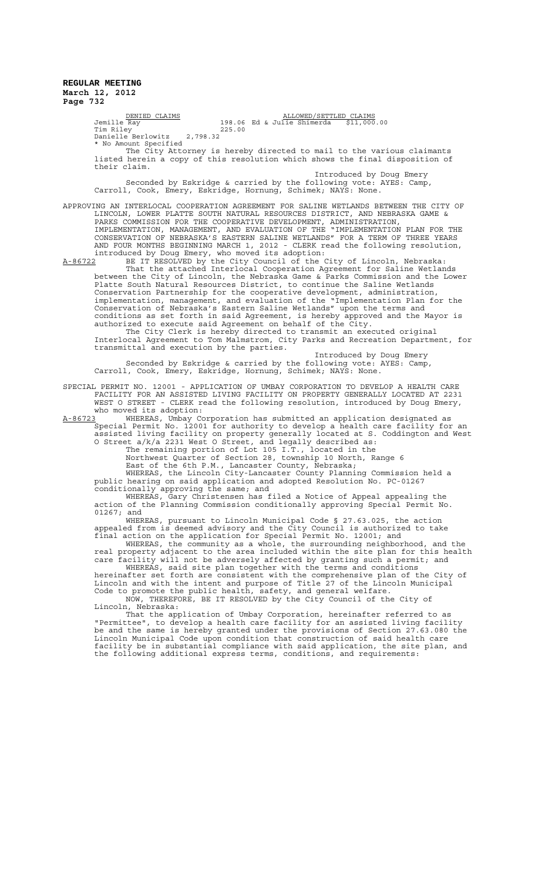<u>DENIED CLAIMS (DENIED CLAIMS</u> ) ALLOWED<br>198.06 Ed & Julie Shimerda \$11,000.00 (Julie Shimerda \$11,000.00 Tim Riley 225.00 Danielle Berlowitz 2,798.32 \* No Amount Specified The City Attorney is hereby directed to mail to the various claimants listed herein a copy of this resolution which shows the final disposition of their claim. Introduced by Doug Emery Seconded by Eskridge & carried by the following vote: AYES: Camp, Carroll, Cook, Emery, Eskridge, Hornung, Schimek; NAYS: None. APPROVING AN INTERLOCAL COOPERATION AGREEMENT FOR SALINE WETLANDS BETWEEN THE CITY OF LINCOLN, LOWER PLATTE SOUTH NATURAL RESOURCES DISTRICT, AND NEBRASKA GAME & PARKS COMMISSION FOR THE COOPERATIVE DEVELOPMENT, ADMINISTRATION, IMPLEMENTATION, MANAGEMENT, AND EVALUATION OF THE "IMPLEMENTATION PLAN FOR THE CONSERVATION OF NEBRASKA'S EASTERN SALINE WETLANDS" FOR A TERM OF THREE YEARS AND FOUR MONTHS BEGINNING MARCH 1, 2012 - CLERK read the following resolution, introduced by Doug Emery, who moved its adoption: A-86722 BE IT RESOLVED by the City Council of the City of Lincoln, Nebraska: That the attached Interlocal Cooperation Agreement for Saline Wetlands between the City of Lincoln, the Nebraska Game & Parks Commission and the Lower Platte South Natural Resources District, to continue the Saline Wetlands Conservation Partnership for the cooperative development, administration, implementation, management, and evaluation of the "Implementation Plan for the Conservation of Nebraska's Eastern Saline Wetlands" upon the terms and conditions as set forth in said Agreement, is hereby approved and the Mayor is authorized to execute said Agreement on behalf of the City. The City Clerk is hereby directed to transmit an executed original Interlocal Agreement to Tom Malmstrom, City Parks and Recreation Department, for transmittal and execution by the parties. Introduced by Doug Emery Seconded by Eskridge & carried by the following vote: AYES: Camp, Carroll, Cook, Emery, Eskridge, Hornung, Schimek; NAYS: None. SPECIAL PERMIT NO. 12001 - APPLICATION OF UMBAY CORPORATION TO DEVELOP A HEALTH CARE FACILITY FOR AN ASSISTED LIVING FACILITY ON PROPERTY GENERALLY LOCATED AT 2231 WEST O STREET - CLERK read the following resolution, introduced by Doug Emery, who moved its adoption:<br>A-86723 WHEREAS, Umbav Co A-86723 WHEREAS, Umbay Corporation has submitted an application designated as Special Permit No. 12001 for authority to develop a health care facility for an assisted living facility on property generally located at S. Coddington and West O Street a/k/a 2231 West O Street, and legally described as: The remaining portion of Lot 105 I.T., located in the Northwest Quarter of Section 28, township 10 North, Range 6 East of the 6th P.M., Lancaster County, Nebraska; WHEREAS, the Lincoln City-Lancaster County Planning Commission held a public hearing on said application and adopted Resolution No. PC-01267 conditionally approving the same; and WHEREAS, Gary Christensen has filed a Notice of Appeal appealing the action of the Planning Commission conditionally approving Special Permit No. 01267; and WHEREAS, pursuant to Lincoln Municipal Code § 27.63.025, the action appealed from is deemed advisory and the City Council is authorized to take final action on the application for Special Permit No. 12001; and WHEREAS, the community as a whole, the surrounding neighborhood, and the real property adjacent to the area included within the site plan for this health care facility will not be adversely affected by granting such a permit; and WHEREAS, said site plan together with the terms and conditions hereinafter set forth are consistent with the comprehensive plan of the City of Lincoln and with the intent and purpose of Title 27 of the Lincoln Municipal Code to promote the public health, safety, and general welfare. NOW, THEREFORE, BE IT RESOLVED by the City Council of the City of Lincoln, Nebraska: That the application of Umbay Corporation, hereinafter referred to as "Permittee", to develop a health care facility for an assisted living facility be and the same is hereby granted under the provisions of Section 27.63.080 the Lincoln Municipal Code upon condition that construction of said health care facility be in substantial compliance with said application, the site plan, and

the following additional express terms, conditions, and requirements: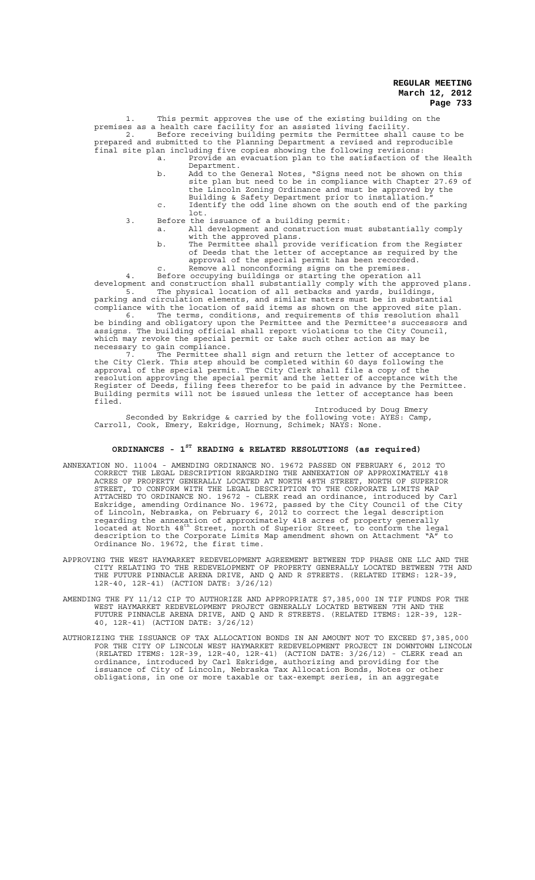1. This permit approves the use of the existing building on the premises as a health care facility for an assisted living facility. 2. Before receiving building permits the Permittee shall cause to be prepared and submitted to the Planning Department a revised and reproducible final site plan including five copies showing the following revisions: a. Provide an evacuation plan to the satisfaction of the Health

- Department. b. Add to the General Notes, "Signs need not be shown on this site plan but need to be in compliance with Chapter 27.69 of the Lincoln Zoning Ordinance and must be approved by the
	- Building & Safety Department prior to installation."
- c. Identify the odd line shown on the south end of the parking lot. 3. Before the issuance of a building permit:
	- a. All development and construction must substantially comply with the approved plans.
		- b. The Permittee shall provide verification from the Register with the approved plans.<br>The Permittee shall provide verification from the Register<br>of Deeds that the letter of acceptance as required by the approval of the special permit has been recorded.
		- c. Remove all nonconforming signs on the premises.

4. Before occupying buildings or starting the operation all development and construction shall substantially comply with the approved plans. 5. The physical location of all setbacks and yards, buildings,

parking and circulation elements, and similar matters must be in substantial compliance with the location of said items as shown on the approved site plan. 6. The terms, conditions, and requirements of this resolution shall be binding and obligatory upon the Permittee and the Permittee's successors and assigns. The building official shall report violations to the City Council, which may revoke the special permit or take such other action as may be necessary to gain compliance.

7. The Permittee shall sign and return the letter of acceptance to the City Clerk. This step should be completed within 60 days following the approval of the special permit. The City Clerk shall file a copy of the resolution approving the special permit and the letter of acceptance with the Register of Deeds, filing fees therefor to be paid in advance by the Permittee. Building permits will not be issued unless the letter of acceptance has been filed.

Introduced by Doug Emery Seconded by Eskridge & carried by the following vote: AYES: Camp, Carroll, Cook, Emery, Eskridge, Hornung, Schimek; NAYS: None.

# **ORDINANCES - 1ST READING & RELATED RESOLUTIONS (as required)**

- ANNEXATION NO. 11004 AMENDING ORDINANCE NO. 19672 PASSED ON FEBRUARY 6, 2012 TO CORRECT THE LEGAL DESCRIPTION REGARDING THE ANNEXATION OF APPROXIMATELY 418 ACRES OF PROPERTY GENERALLY LOCATED AT NORTH 48TH STREET, NORTH OF SUPERIOR STREET, TO CONFORM WITH THE LEGAL DESCRIPTION TO THE CORPORATE LIMITS MAP ATTACHED TO ORDINANCE NO. 19672 - CLERK read an ordinance, introduced by Carl Eskridge, amending Ordinance No. 19672, passed by the City Council of the City of Lincoln, Nebraska, on February 6, 2012 to correct the legal description regarding the annexation of approximately 418 acres of property generally<br>located at North 48<sup>th</sup> Street, north of Superior Street, to conform the legal description to the Corporate Limits Map amendment shown on Attachment "A" to Ordinance No. 19672, the first time.
- APPROVING THE WEST HAYMARKET REDEVELOPMENT AGREEMENT BETWEEN TDP PHASE ONE LLC AND THE CITY RELATING TO THE REDEVELOPMENT OF PROPERTY GENERALLY LOCATED BETWEEN 7TH AND THE FUTURE PINNACLE ARENA DRIVE, AND Q AND R STREETS. (RELATED ITEMS: 12R-39, 12R-40, 12R-41) (ACTION DATE: 3/26/12)
- AMENDING THE FY 11/12 CIP TO AUTHORIZE AND APPROPRIATE \$7,385,000 IN TIF FUNDS FOR THE WEST HAYMARKET REDEVELOPMENT PROJECT GENERALLY LOCATED BETWEEN 7TH AND THE FUTURE PINNACLE ARENA DRIVE, AND Q AND R STREETS. (RELATED ITEMS: 12R-39, 12R-40, 12R-41) (ACTION DATE: 3/26/12)
- AUTHORIZING THE ISSUANCE OF TAX ALLOCATION BONDS IN AN AMOUNT NOT TO EXCEED \$7,385,000 FOR THE CITY OF LINCOLN WEST HAYMARKET REDEVELOPMENT PROJECT IN DOWNTOWN LINCOLN (RELATED ITEMS: 12R-39, 12R-40, 12R-41) (ACTION DATE: 3/26/12) - CLERK read an ordinance, introduced by Carl Eskridge, authorizing and providing for the issuance of City of Lincoln, Nebraska Tax Allocation Bonds, Notes or other obligations, in one or more taxable or tax-exempt series, in an aggregate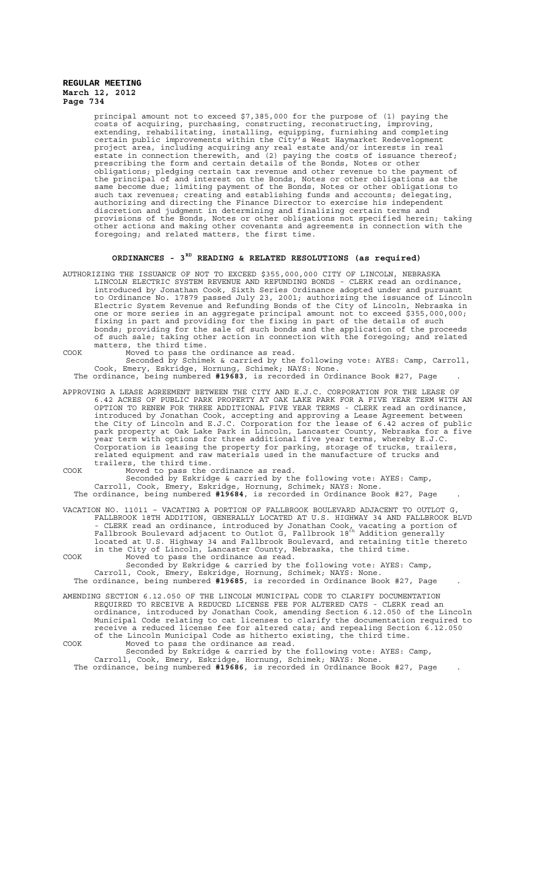principal amount not to exceed \$7,385,000 for the purpose of (1) paying the costs of acquiring, purchasing, constructing, reconstructing, improving, extending, rehabilitating, installing, equipping, furnishing and completing certain public improvements within the City's West Haymarket Redevelopment project area, including acquiring any real estate and/or interests in real estate in connection therewith, and (2) paying the costs of issuance thereof; prescribing the form and certain details of the Bonds, Notes or other obligations; pledging certain tax revenue and other revenue to the payment of the principal of and interest on the Bonds, Notes or other obligations as the same become due; limiting payment of the Bonds, Notes or other obligations to such tax revenues; creating and establishing funds and accounts; delegating, authorizing and directing the Finance Director to exercise his independent discretion and judgment in determining and finalizing certain terms and provisions of the Bonds, Notes or other obligations not specified herein; taking other actions and making other covenants and agreements in connection with the foregoing; and related matters, the first time.

# **ORDINANCES - 3RD READING & RELATED RESOLUTIONS (as required)**

AUTHORIZING THE ISSUANCE OF NOT TO EXCEED \$355,000,000 CITY OF LINCOLN, NEBRASKA LINCOLN ELECTRIC SYSTEM REVENUE AND REFUNDING BONDS - CLERK read an ordinance, introduced by Jonathan Cook, Sixth Series Ordinance adopted under and pursuant to Ordinance No. 17879 passed July 23, 2001; authorizing the issuance of Lincoln Electric System Revenue and Refunding Bonds of the City of Lincoln, Nebraska in one or more series in an aggregate principal amount not to exceed \$355,000,000; fixing in part and providing for the fixing in part of the details of such bonds; providing for the sale of such bonds and the application of the proceeds of such sale; taking other action in connection with the foregoing; and related matters, the third time.

COOK Moved to pass the ordinance as read.

Seconded by Schimek & carried by the following vote: AYES: Camp, Carroll, Cook, Emery, Eskridge, Hornung, Schimek; NAYS: None.

The ordinance, being numbered **#19683**, is recorded in Ordinance Book #27, Page .

APPROVING A LEASE AGREEMENT BETWEEN THE CITY AND E.J.C. CORPORATION FOR THE LEASE OF 6.42 ACRES OF PUBLIC PARK PROPERTY AT OAK LAKE PARK FOR A FIVE YEAR TERM WITH AN OPTION TO RENEW FOR THREE ADDITIONAL FIVE YEAR TERMS - CLERK read an ordinance, introduced by Jonathan Cook, accepting and approving a Lease Agreement between the City of Lincoln and E.J.C. Corporation for the lease of 6.42 acres of public park property at Oak Lake Park in Lincoln, Lancaster County, Nebraska for a five year term with options for three additional five year terms, whereby E.J.C. Corporation is leasing the property for parking, storage of trucks, trailers, related equipment and raw materials used in the manufacture of trucks and trailers, the third time.

COOK Moved to pass the ordinance as read.

Seconded by Eskridge & carried by the following vote: AYES: Camp,

Carroll, Cook, Emery, Eskridge, Hornung, Schimek; NAYS: None. The ordinance, being numbered **#19684**, is recorded in Ordinance Book #27, Page .

VACATION NO. 11011 – VACATING A PORTION OF FALLBROOK BOULEVARD ADJACENT TO OUTLOT G, FALLBROOK 18TH ADDITION, GENERALLY LOCATED AT U.S. HIGHWAY 34 AND FALLBROOK BLVD - CLERK read an ordinance, introduced by Jonathan Cook, vacating a portion of<br>Fallbrook Boulevard adjacent to Outlot G, Fallbrook 18<sup>th</sup> Addition generally located at U.S. Highway 34 and Fallbrook Boulevard, and retaining title thereto in the City of Lincoln, Lancaster County, Nebraska, the third time. COOK Moved to pass the ordinance as read.

Seconded by Eskridge & carried by the following vote: AYES: Camp, Carroll, Cook, Emery, Eskridge, Hornung, Schimek; NAYS: None. The ordinance, being numbered **#19685**, is recorded in Ordinance Book #27, Page .

AMENDING SECTION 6.12.050 OF THE LINCOLN MUNICIPAL CODE TO CLARIFY DOCUMENTATION REQUIRED TO RECEIVE A REDUCED LICENSE FEE FOR ALTERED CATS - CLERK read an ordinance, introduced by Jonathan Cook, amending Section 6.12.050 of the Lincoln Municipal Code relating to cat licenses to clarify the documentation required to receive a reduced license fee for altered cats; and repealing Section 6.12.050 of the Lincoln Municipal Code as hitherto existing, the third time. COOK Moved to pass the ordinance as read.

Seconded by Eskridge & carried by the following vote: AYES: Camp, Carroll, Cook, Emery, Eskridge, Hornung, Schimek; NAYS: None. The ordinance, being numbered **#19686**, is recorded in Ordinance Book #27, Page .